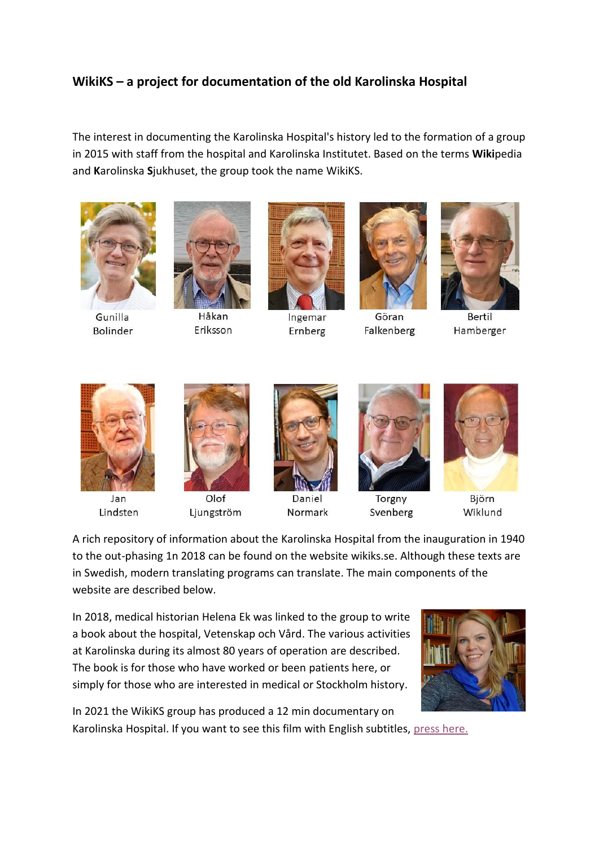## **WikiKS – a project for documentation of the old Karolinska Hospital**

The interest in documenting the Karolinska Hospital's history led to the formation of a group in 2015 with staff from the hospital and Karolinska Institutet. Based on the terms **Wiki**pedia and **K**arolinska **S**jukhuset, the group took the name WikiKS.



Gunilla **Bolinder** 



Håkan Eriksson



Ingemar Ernberg



Göran Falkenberg



**Bertil** Hamberger



Jan Lindsten



Ljungström



Daniel Normark



Torgny Svenberg



Björn Wiklund

A rich repository of information about the Karolinska Hospital from the inauguration in 1940 to the out-phasing 1n 2018 can be found on the website wikiks.se. Although these texts are in Swedish, modern translating programs can translate. The main components of the website are described below.

In 2018, medical historian Helena Ek was linked to the group to write a book about the hospital, Vetenskap och Vård. The various activities at Karolinska during its almost 80 years of operation are described. The book is for those who have worked or been patients here, or simply for those who are interested in medical or Stockholm history.



In 2021 the WikiKS group has produced a 12 min documentary on Karolinska Hospital. If you want to see this film with English subtitles, [press here.](https://www.youtube.com/watch?v=AjlIpKdlHFA)